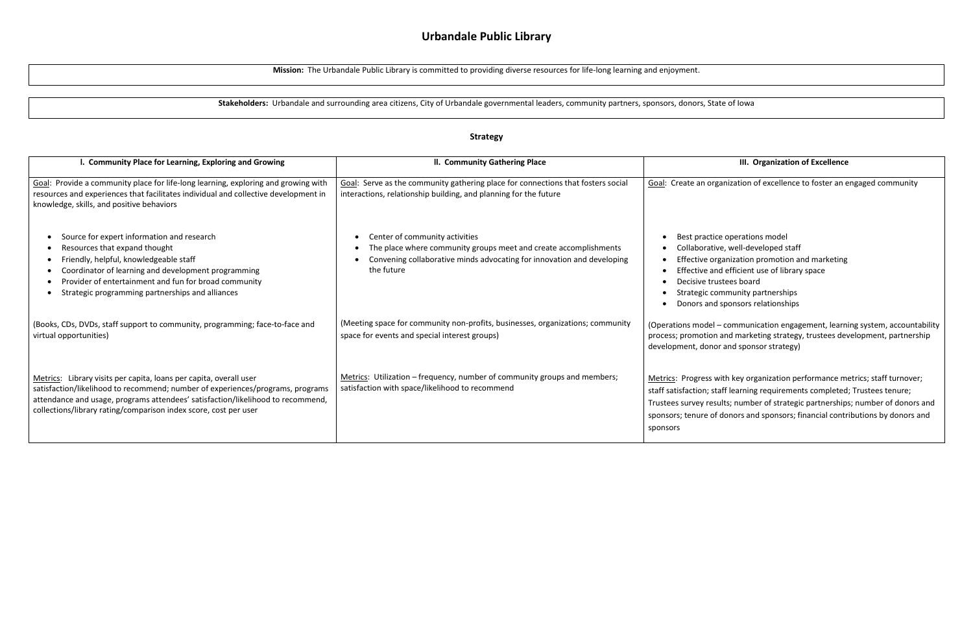# **Urbandale Public Library**

**Mission:** The Urbandale Public Library is committed to providing diverse resources for life-long learning and enjoyment.

**Stakeholders:** Urbandale and surrounding area citizens, City of Urbandale governmental leaders, community partners, sponsors, donors, State of Iowa

### **Strategy**

### **III. Organization of Excellence**

ganization of excellence to foster an engaged community

- ce operations model
- ve, well-developed staff
- rganization promotion and marketing
- nd efficient use of library space
- ustees board
- ommunity partnerships
- I sponsors relationships

- communication engagement, learning system, accountability n and marketing strategy, trustees development, partnership or and sponsor strategy)

with key organization performance metrics; staff turnover; taff learning requirements completed; Trustees tenure; sults; number of strategic partnerships; number of donors and donors and sponsors; financial contributions by donors and

| I. Community Place for Learning, Exploring and Growing                                                                                                                                                                                                                                                      | II. Community Gathering Place                                                                                                                                                                   |                                                                                                            |
|-------------------------------------------------------------------------------------------------------------------------------------------------------------------------------------------------------------------------------------------------------------------------------------------------------------|-------------------------------------------------------------------------------------------------------------------------------------------------------------------------------------------------|------------------------------------------------------------------------------------------------------------|
| Goal: Provide a community place for life-long learning, exploring and growing with<br>resources and experiences that facilitates individual and collective development in<br>knowledge, skills, and positive behaviors                                                                                      | Goal: Serve as the community gathering place for connections that fosters social<br>interactions, relationship building, and planning for the future                                            | Goal: Create an org                                                                                        |
| Source for expert information and research<br>Resources that expand thought<br>Friendly, helpful, knowledgeable staff<br>Coordinator of learning and development programming<br>Provider of entertainment and fun for broad community<br>Strategic programming partnerships and alliances                   | Center of community activities<br>٠<br>The place where community groups meet and create accomplishments<br>Convening collaborative minds advocating for innovation and developing<br>the future | Best practio<br>Collaborativ<br>Effective or<br>Effective ar<br>Decisive tru<br>Strategic co<br>Donors and |
| (Books, CDs, DVDs, staff support to community, programming; face-to-face and<br>virtual opportunities)                                                                                                                                                                                                      | (Meeting space for community non-profits, businesses, organizations; community<br>space for events and special interest groups)                                                                 | (Operations model<br>process; promotion<br>development, donc                                               |
| Metrics: Library visits per capita, loans per capita, overall user<br>satisfaction/likelihood to recommend; number of experiences/programs, programs<br>attendance and usage, programs attendees' satisfaction/likelihood to recommend,<br>collections/library rating/comparison index score, cost per user | Metrics: Utilization – frequency, number of community groups and members;<br>satisfaction with space/likelihood to recommend                                                                    | Metrics: Progress v<br>staff satisfaction; st<br>Trustees survey res<br>sponsors; tenure of<br>sponsors    |